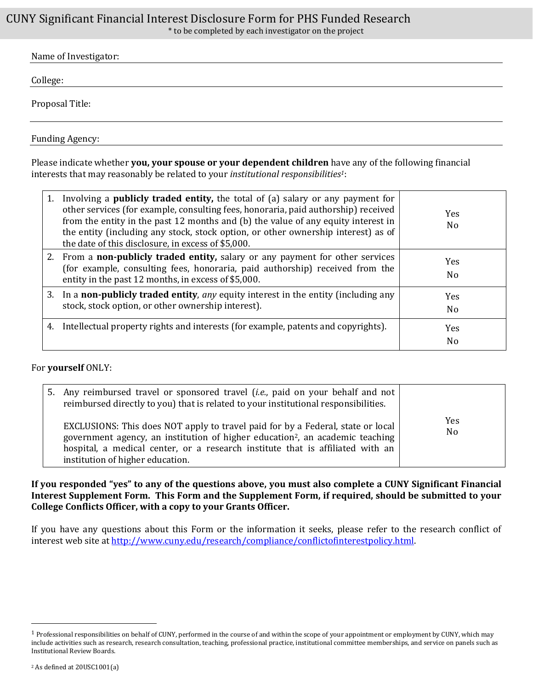## CUNY Significant Financial Interest Disclosure Form for PHS Funded Research

\* to be completed by each investigator on the project

| Name of Investigator: |  |
|-----------------------|--|
| College:              |  |
|                       |  |
| Proposal Title:       |  |

Funding Agency:

Please indicate whether **you, your spouse or your dependent children** have any of the following financial interests that may reasonably be related to your *institutional responsibilities1*:

| 1. | Involving a <b>publicly traded entity</b> , the total of (a) salary or any payment for<br>other services (for example, consulting fees, honoraria, paid authorship) received<br>from the entity in the past 12 months and (b) the value of any equity interest in<br>the entity (including any stock, stock option, or other ownership interest) as of<br>the date of this disclosure, in excess of \$5,000. | <b>Yes</b><br>N <sub>0</sub> |
|----|--------------------------------------------------------------------------------------------------------------------------------------------------------------------------------------------------------------------------------------------------------------------------------------------------------------------------------------------------------------------------------------------------------------|------------------------------|
|    | 2. From a <b>non-publicly traded entity</b> , salary or any payment for other services<br>(for example, consulting fees, honoraria, paid authorship) received from the<br>entity in the past 12 months, in excess of \$5,000.                                                                                                                                                                                | <b>Yes</b><br>No             |
|    | 3. In a <b>non-publicly traded entity</b> , any equity interest in the entity (including any<br>stock, stock option, or other ownership interest).                                                                                                                                                                                                                                                           | <b>Yes</b><br>No             |
| 4. | Intellectual property rights and interests (for example, patents and copyrights).                                                                                                                                                                                                                                                                                                                            | <b>Yes</b><br>No             |

## For **yourself** ONLY:

| 5. Any reimbursed travel or sponsored travel <i>(i.e., paid on your behalf and not</i><br>reimbursed directly to you) that is related to your institutional responsibilities.                                                                                                                      |                       |
|----------------------------------------------------------------------------------------------------------------------------------------------------------------------------------------------------------------------------------------------------------------------------------------------------|-----------------------|
| EXCLUSIONS: This does NOT apply to travel paid for by a Federal, state or local<br>government agency, an institution of higher education <sup>2</sup> , an academic teaching<br>hospital, a medical center, or a research institute that is affiliated with an<br>institution of higher education. | Yes<br>N <sub>o</sub> |

**If you responded "yes" to any of the questions above, you must also complete a CUNY Significant Financial Interest Supplement Form. This Form and the Supplement Form, if required, should be submitted to your College Conflicts Officer, with a copy to your Grants Officer.** 

If you have any questions about this Form or the information it seeks, please refer to the research conflict of interest web site at [http://www.cuny.edu/research/compliance/conflictofinterestpolicy.html.](http://www.cuny.edu/research/compliance/conflictofinterestpolicy.html)

 $\overline{a}$ 

 $1$  Professional responsibilities on behalf of CUNY, performed in the course of and within the scope of your appointment or employment by CUNY, which may include activities such as research, research consultation, teaching, professional practice, institutional committee memberships, and service on panels such as Institutional Review Boards.